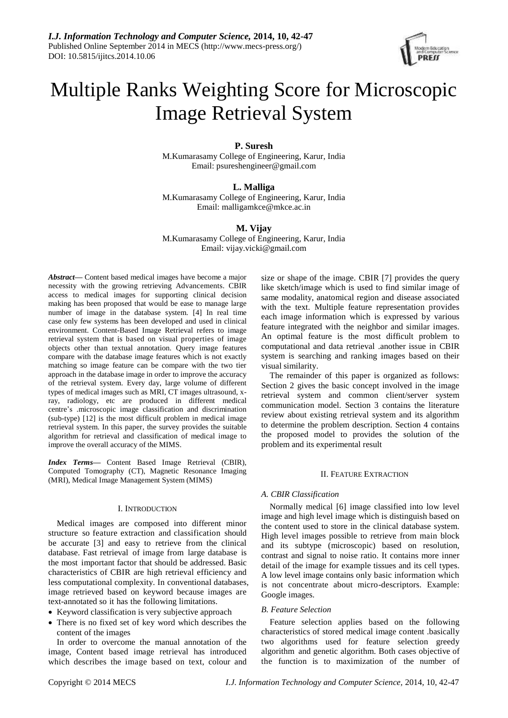

# Multiple Ranks Weighting Score for Microscopic Image Retrieval System

# **P. Suresh**

M.Kumarasamy College of Engineering, Karur, India Email: psureshengineer@gmail.com

# **L. Malliga**

M.Kumarasamy College of Engineering, Karur, India Email: malligamkce@mkce.ac.in

# **M. Vijay**

M.Kumarasamy College of Engineering, Karur, India Email: vijay.vicki@gmail.com

*Abstract***—** Content based medical images have become a major necessity with the growing retrieving Advancements. CBIR access to medical images for supporting clinical decision making has been proposed that would be ease to manage large number of image in the database system. [4] In real time case only few systems has been developed and used in clinical environment. Content-Based Image Retrieval refers to image retrieval system that is based on visual properties of image objects other than textual annotation. Query image features compare with the database image features which is not exactly matching so image feature can be compare with the two tier approach in the database image in order to improve the accuracy of the retrieval system. Every day, large volume of different types of medical images such as MRI, CT images ultrasound, xray, radiology, etc are produced in different medical centre's .microscopic image classification and discrimination (sub-type) [12] is the most difficult problem in medical image retrieval system. In this paper, the survey provides the suitable algorithm for retrieval and classification of medical image to improve the overall accuracy of the MIMS.

*Index Terms***—** Content Based Image Retrieval (CBIR), Computed Tomography (CT), Magnetic Resonance Imaging (MRI), Medical Image Management System (MIMS)

## I. INTRODUCTION

Medical images are composed into different minor structure so feature extraction and classification should be accurate [3] and easy to retrieve from the clinical database. Fast retrieval of image from large database is the most important factor that should be addressed. Basic characteristics of CBIR are high retrieval efficiency and less computational complexity. In conventional databases, image retrieved based on keyword because images are text-annotated so it has the following limitations.

- Keyword classification is very subjective approach
- There is no fixed set of key word which describes the content of the images

In order to overcome the manual annotation of the image, Content based image retrieval has introduced which describes the image based on text, colour and size or shape of the image. CBIR [7] provides the query like sketch/image which is used to find similar image of same modality, anatomical region and disease associated with the text. Multiple feature representation provides each image information which is expressed by various feature integrated with the neighbor and similar images. An optimal feature is the most difficult problem to computational and data retrieval .another issue in CBIR system is searching and ranking images based on their visual similarity.

The remainder of this paper is organized as follows: Section 2 gives the basic concept involved in the image retrieval system and common client/server system communication model. Section 3 contains the literature review about existing retrieval system and its algorithm to determine the problem description. Section 4 contains the proposed model to provides the solution of the problem and its experimental result

## II. FEATURE EXTRACTION

# *A. CBIR Classification*

Normally medical [6] image classified into low level image and high level image which is distinguish based on the content used to store in the clinical database system. High level images possible to retrieve from main block and its subtype (microscopic) based on resolution, contrast and signal to noise ratio. It contains more inner detail of the image for example tissues and its cell types. A low level image contains only basic information which is not concentrate about micro-descriptors. Example: Google images.

# *B. Feature Selection*

Feature selection applies based on the following characteristics of stored medical image content .basically two algorithms used for feature selection greedy algorithm and genetic algorithm. Both cases objective of the function is to maximization of the number of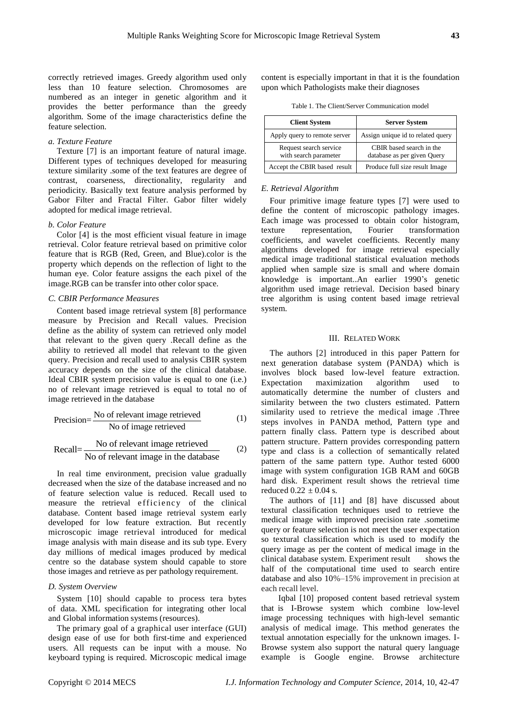correctly retrieved images. Greedy algorithm used only less than 10 feature selection. Chromosomes are numbered as an integer in genetic algorithm and it provides the better performance than the greedy algorithm. Some of the image characteristics define the feature selection.

## *a. Texture Feature*

Texture [7] is an important feature of natural image. Different types of techniques developed for measuring texture similarity .some of the text features are degree of contrast, coarseness, directionality, regularity and periodicity. Basically text feature analysis performed by Gabor Filter and Fractal Filter. Gabor filter widely adopted for medical image retrieval.

#### *b. Color Feature*

Color [4] is the most efficient visual feature in image retrieval. Color feature retrieval based on primitive color feature that is RGB (Red, Green, and Blue).color is the property which depends on the reflection of light to the human eye. Color feature assigns the each pixel of the image.RGB can be transfer into other color space.

#### *C. CBIR Performance Measures*

Content based image retrieval system [8] performance measure by Precision and Recall values. Precision define as the ability of system can retrieved only model that relevant to the given query .Recall define as the ability to retrieved all model that relevant to the given query. Precision and recall used to analysis CBIR system accuracy depends on the size of the clinical database. Ideal CBIR system precision value is equal to one (i.e.) no of relevant image retrieved is equal to total no of image retrieved in the database

$$
Precision = \frac{No \text{ of relevant image retrieved}}{No \text{ of image retrieved}}
$$
 (1)

$$
Recall = \frac{\text{No of relevant image retrieved}}{\text{No of relevant image in the database}} \tag{2}
$$

In real time environment, precision value gradually decreased when the size of the database increased and no of feature selection value is reduced. Recall used to measure the retrieval efficiency of the clinical database. Content based image retrieval system early developed for low feature extraction. But recently microscopic image retrieval introduced for medical image analysis with main disease and its sub type. Every day millions of medical images produced by medical centre so the database system should capable to store those images and retrieve as per pathology requirement.

## *D. System Overview*

System [10] should capable to process tera bytes of data. XML specification for integrating other local and Global information systems (resources).

The primary goal of a graphical user interface (GUI) design ease of use for both first-time and experienced users. All requests can be input with a mouse. No keyboard typing is required. Microscopic medical image

content is especially important in that it is the foundation upon which Pathologists make their diagnoses

| Table 1. The Client/Server Communication model |  |
|------------------------------------------------|--|
|------------------------------------------------|--|

| <b>Client System</b>                            | <b>Server System</b>                                    |  |
|-------------------------------------------------|---------------------------------------------------------|--|
| Apply query to remote server                    | Assign unique id to related query                       |  |
| Request search service<br>with search parameter | CBIR based search in the<br>database as per given Query |  |
| Accept the CBIR based result                    | Produce full size result Image                          |  |

#### *E. Retrieval Algorithm*

Four primitive image feature types [7] were used to define the content of microscopic pathology images. Each image was processed to obtain color histogram, texture representation, Fourier transformation coefficients, and wavelet coefficients. Recently many algorithms developed for image retrieval especially medical image traditional statistical evaluation methods applied when sample size is small and where domain knowledge is important..An earlier 1990's genetic algorithm used image retrieval. Decision based binary tree algorithm is using content based image retrieval system.

#### III. RELATED WORK

The authors [2] introduced in this paper Pattern for next generation database system (PANDA) which is involves block based low-level feature extraction. Expectation maximization algorithm used to automatically determine the number of clusters and similarity between the two clusters estimated. Pattern similarity used to retrieve the medical image .Three steps involves in PANDA method, Pattern type and pattern finally class. Pattern type is described about pattern structure. Pattern provides corresponding pattern type and class is a collection of semantically related pattern of the same pattern type. Author tested 6000 image with system configuration 1GB RAM and 60GB hard disk. Experiment result shows the retrieval time reduced  $0.22 \pm 0.04$  s.

The authors of [11] and [8] have discussed about textural classification techniques used to retrieve the medical image with improved precision rate .sometime query or feature selection is not meet the user expectation so textural classification which is used to modify the query image as per the content of medical image in the clinical database system. Experiment result shows the half of the computational time used to search entire database and also 10%–15% improvement in precision at each recall level.

 Iqbal [10] proposed content based retrieval system that is I-Browse system which combine low-level image processing techniques with high-level semantic analysis of medical image. This method generates the textual annotation especially for the unknown images. I-Browse system also support the natural query language example is Google engine. Browse architecture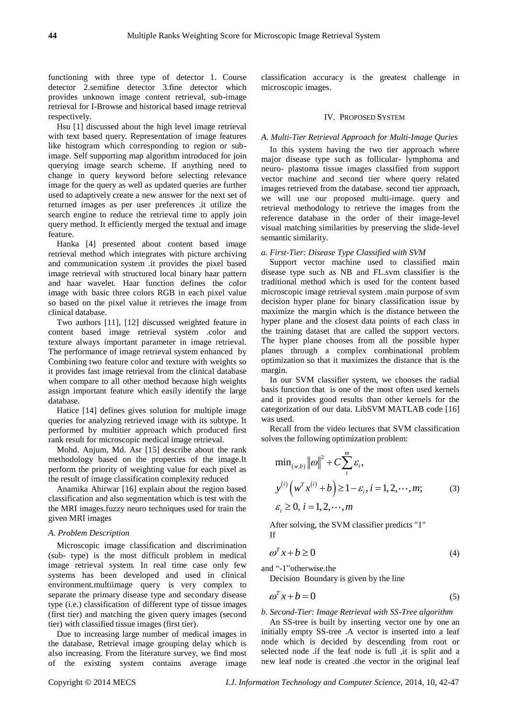functioning with three type of detector 1. Course detector 2.semifine detector 3.fine detector which provides unknown image content retrieval, sub-image retrieval for I-Browse and historical based image retrieval respectively.

Hsu [1] discussed about the high level image retrieval with text based query. Representation of image features like histogram which corresponding to region or subimage. Self supporting map algorithm introduced for join querying image search scheme. If anything need to change in query keyword before selecting relevance image for the query as well as updated queries are further used to adaptively create a new answer for the next set of returned images as per user preferences .it utilize the search engine to reduce the retrieval time to apply join query method. It efficiently merged the textual and image feature.

Hanka [4] presented about content based image retrieval method which integrates with picture archiving and communication system .it provides the pixel based image retrieval with structured local binary haar pattern and haar wavelet. Haar function defines the color image with basic three colors RGB in each pixel value so based on the pixel value it retrieves the image from clinical database.

Two authors [11], [12] discussed weighted feature in content based image retrieval system .color and texture always important parameter in image retrieval. The performance of image retrieval system enhanced by Combining two feature color and texture with weights so it provides fast image retrieval from the clinical database when compare to all other method because high weights assign important feature which easily identify the large database.

Hatice [14] defines gives solution for multiple image queries for analyzing retrieved image with its subtype. It performed by multitier approach which produced first rank result for microscopic medical image retrieval.

Mohd. Anjum, Md. Asr [15] describe about the rank methodology based on the properties of the image.It perform the priority of weighting value for each pixel as the result of image classification complexity reduced

Anamika Ahirwar [16] explain about the region based classification and also segmentation which is test with the the MRI images.fuzzy neuro techniques used for train the given MRI images

#### *A. Problem Description*

Microscopic image classification and discrimination (sub- type) is the most difficult problem in medical image retrieval system. In real time case only few systems has been developed and used in clinical environment.multiimage query is very complex to separate the primary disease type and secondary disease type (i.e.) classification of different type of tissue images (first tier) and matching the given query images (second tier) with classified tissue images (first tier).

Due to increasing large number of medical images in the database, Retrieval image grouping delay which is also increasing. From the literature survey, we find most of the existing system contains average image

classification accuracy is the greatest challenge in microscopic images.

## IV. PROPOSED SYSTEM

## *A. Multi-Tier Retrieval Approach for Multi-Image Quries*

In this system having the two tier approach where major disease type such as follicular- lymphoma and neuro- plastoma tissue images classified from support vector machine and second tier where query related images retrieved from the database. second tier approach, we will use our proposed multi-image. query and retrieval methodology to retrieve the images from the reference database in the order of their image-level visual matching similarities by preserving the slide-level semantic similarity.

#### *a. First-Tier: Disease Type Classified with SVM*

Support vector machine used to classified main disease type such as NB and FL.svm classifier is the traditional method which is used for the content based microscopic image retrieval system .main purpose of svm decision hyper plane for binary classification issue by maximize the margin which is the distance between the hyper plane and the closest data points of each class in the training dataset that are called the support vectors. The hyper plane chooses from all the possible hyper planes through a complex combinational problem optimization so that it maximizes the distance that is the margin.

In our SVM classifier system, we chooses the radial basis function that is one of the most often used kernels and it provides good results than other kernels for the categorization of our data. LibSVM MATLAB code [16] was used.

Recall from the video lectures that SVM classification solves the following optimization problem:

$$
\min_{(w,b)} ||\omega||^2 + C \sum_{i}^{m} \varepsilon_i,
$$
  

$$
y^{(i)} (w^T x^{(i)} + b) \ge 1 - \varepsilon_i, i = 1, 2, \dots, m;
$$
 (3)  

$$
\varepsilon_i \ge 0, i = 1, 2, \dots, m
$$

$$
\varepsilon_i \geq 0, i = 1, 2, \cdots, m
$$

After solving, the SVM classifier predicts "1" If

$$
\omega^T x + b \ge 0 \tag{4}
$$

and "-1"otherwise.the

Decision Boundary is given by the line

$$
\omega^T x + b = 0 \tag{5}
$$

*b. Second-Tier: Image Retrieval with SS-Tree algorithm* 

An SS-tree is built by inserting vector one by one an initially empty SS-tree .A vector is inserted into a leaf node which is decided by descending from root or selected node .if the leaf node is full ,it is split and a new leaf node is created .the vector in the original leaf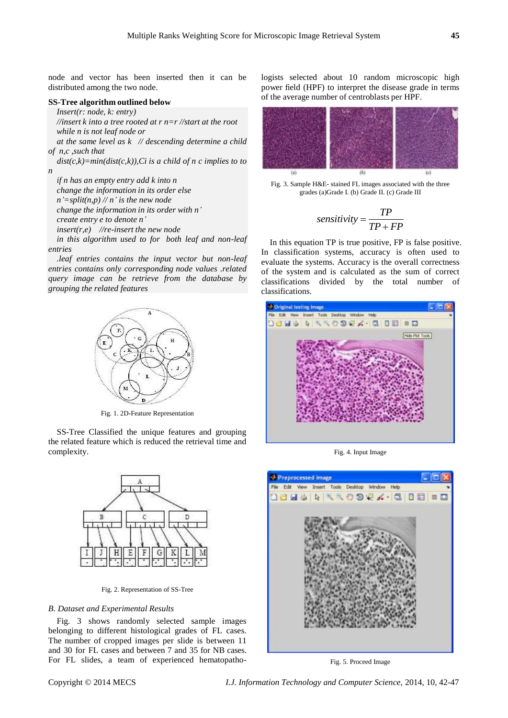node and vector has been inserted then it can be distributed among the two node.

## **SS-Tree algorithm outlined below**

*Insert(r: node, k: entry)*

*//insert k into a tree rooted at r n=r //start at the root while n is not leaf node or*

*at the same level as k // descending determine a child of n,c ,such that*

*dist(c,k)=min(dist(c,k)),Ci is a child of n c implies to to n*

*if n has an empty entry add k into n change the information in its order else*  $n'$ =*split(n,p)* // *n' is the new node change the information in its order with n' create entry e to denote n'*

*insert(r,e) //re-insert the new node*

*in this algorithm used to for both leaf and non-leaf entries*

*.leaf entries contains the input vector but non-leaf entries contains only corresponding node values .related query image can be retrieve from the database by grouping the related features*



Fig. 1. 2D-Feature Representation

SS-Tree Classified the unique features and grouping the related feature which is reduced the retrieval time and complexity.



Fig. 2. Representation of SS-Tree

## *B. Dataset and Experimental Results*

Fig. 3 shows randomly selected sample images belonging to different histological grades of FL cases. The number of cropped images per slide is between 11 and 30 for FL cases and between 7 and 35 for NB cases. For FL slides, a team of experienced hematopathologists selected about 10 random microscopic high power field (HPF) to interpret the disease grade in terms of the average number of centroblasts per HPF.



Fig. 3. Sample H&E- stained FL images associated with the three grades (a)Grade I. (b) Grade II. (c) Grade III

$$
sensitivity = \frac{TP}{TP + FP}
$$

In this equation TP is true positive, FP is false positive. In classification systems, accuracy is often used to evaluate the systems. Accuracy is the overall correctness of the system and is calculated as the sum of correct classifications divided by the total number of classifications.



Fig. 4. Input Image



Fig. 5. Proceed Image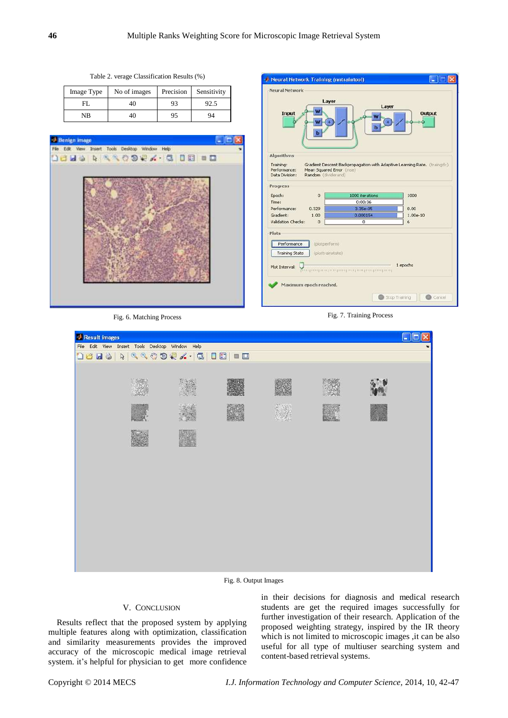Table 2. verage Classification Results (%)

| Image Type | No of images | Precision | Sensitivity |
|------------|--------------|-----------|-------------|
| FL         | 40           | 93        |             |
| NB         | 40           | 95        | 94          |



Neural Network Training (nntraintool)  $\Box$ Neural Network Layer Lave Input Output Algorithms Training:<br>Performance:<br>Data Division: Gradient Descent Backpropagation with Adaptive Learning Rate. (traingds)<br>Mean Squared Error (mse)<br>Random (dividerand) Progress Epoch:  $\mathbf{0}$ 1000 iteration 1000 Time:  $0:00:36$ Performance: 0.329  $_{0.00}$ Gradient:  $1.00e-10$ 1.00 Validation Checks:  $\overline{0}$  $\overline{6}$ Plots Performance (plotperform) Training State (plottrainstate) 1 epochs Maximum epoch reached. Stop Training Cancel

Fig. 6. Matching Process Fig. 7. Training Process



Fig. 8. Output Images

## V. CONCLUSION

Results reflect that the proposed system by applying multiple features along with optimization, classification and similarity measurements provides the improved accuracy of the microscopic medical image retrieval system. it's helpful for physician to get more confidence

in their decisions for diagnosis and medical research students are get the required images successfully for further investigation of their research. Application of the proposed weighting strategy, inspired by the IR theory which is not limited to microscopic images , it can be also useful for all type of multiuser searching system and content-based retrieval systems.